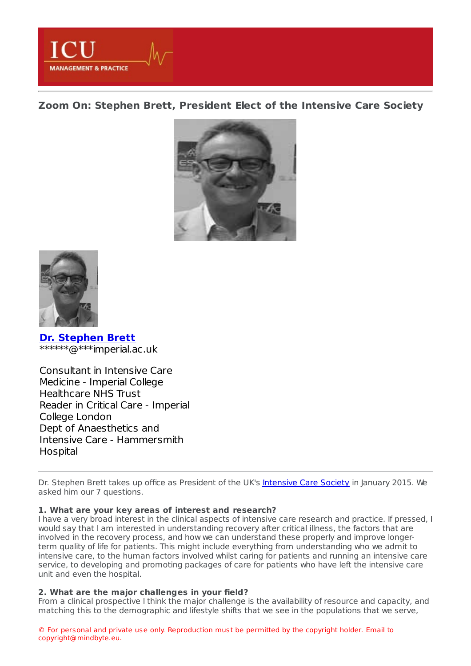**MANAGEMENT & PRACTICE** 

**Zoom On: Stephen Brett, [President](https://healthmanagement.org/s/zoom-on-stephen-brett-president-elect-of-the-intensive-care-society) Elect of the Intensive Care Society**





**Dr. [Stephen](https://healthmanagement.org/viewProfile/73321/Stephen_Brett) Brett** \*\*\*\*\*\*@\*\*\*imperial.ac.uk

Consultant in Intensive Care Medicine - Imperial College Healthcare NHS Trust Reader in Critical Care - Imperial College London Dept of Anaesthetics and Intensive Care - Hammersmith Hospital

Dr. Stephen Brett takes up office as President of the UK's [Intensive](http://www.ics.ac.uk/) Care Society in January 2015. We asked him our 7 questions.

# **1. What are your key areas of interest and research?**

I have a very broad interest in the clinical aspects of intensive care research and practice. If pressed, I would say that I am interested in understanding recovery after critical illness, the factors that are involved in the recovery process, and how we can understand these properly and improve longerterm quality of life for patients. This might include everything from understanding who we admit to intensive care, to the human factors involved whilst caring for patients and running an intensive care service, to developing and promoting packages of care for patients who have left the intensive care unit and even the hospital.

# **2. What are the major challenges in your field?**

From a clinical prospective I think the major challenge is the availability of resource and capacity, and matching this to the demographic and lifestyle shifts that we see in the populations that we serve,

© For personal and private use only. Reproduction must be permitted by the copyright holder. Email to copyright@mindbyte.eu.